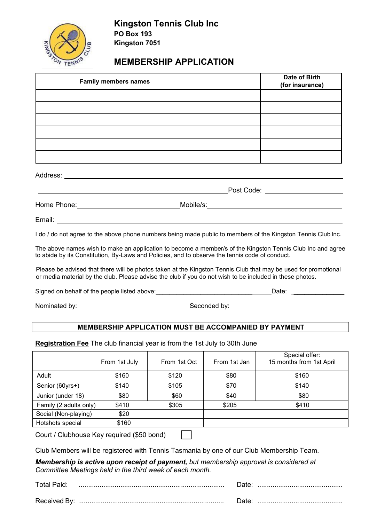

# **MEMBERSHIP APPLICATION**

| <b>Family members names</b> | Date of Birth<br>(for insurance) |  |
|-----------------------------|----------------------------------|--|
|                             |                                  |  |
|                             |                                  |  |
|                             |                                  |  |
|                             |                                  |  |
|                             |                                  |  |
|                             |                                  |  |
| Address:                    |                                  |  |
|                             | Post Code: _______               |  |

Home Phone: Mobile/s:

Email:

I do / do not agree to the above phone numbers being made public to members of the Kingston Tennis Club Inc.

The above names wish to make an application to become a member/s of the Kingston Tennis Club Inc and agree to abide by its Constitution, By-Laws and Policies, and to observe the tennis code of conduct.

Please be advised that there will be photos taken at the Kingston Tennis Club that may be used for promotional or media material by the club. Please advise the club if you do not wish to be included in these photos.

Signed on behalf of the people listed above: \_\_\_\_\_\_\_\_\_\_\_\_\_\_\_\_\_\_\_\_\_\_\_\_\_\_\_\_\_\_\_\_\_\_\_Date: \_\_\_\_\_\_\_\_\_\_\_\_\_\_\_\_\_\_\_\_\_\_\_\_

Nominated by: Seconded by: Seconded by:

# **MEMBERSHIP APPLICATION MUST BE ACCOMPANIED BY PAYMENT**

**Registration Fee** The club financial year is from the 1st July to 30th June

|                        | From 1st July | From 1st Oct | From 1st Jan | Special offer:<br>15 months from 1st April |
|------------------------|---------------|--------------|--------------|--------------------------------------------|
| Adult                  | \$160         | \$120        | \$80         | \$160                                      |
| Senior (60yrs+)        | \$140         | \$105        | \$70         | \$140                                      |
| Junior (under 18)      | \$80          | \$60         | \$40         | \$80                                       |
| Family (2 adults only) | \$410         | \$305        | \$205        | \$410                                      |
| Social (Non-playing)   | \$20          |              |              |                                            |
| Hotshots special       | \$160         |              |              |                                            |

Court / Clubhouse Key required (\$50 bond)

|  |  | Club Members will be registered with Tennis Tasmania by one of our Club Membership Team. |  |
|--|--|------------------------------------------------------------------------------------------|--|
|  |  |                                                                                          |  |

*Membership is active upon receipt of payment, but membership approval is considered at Committee Meetings held in the third week of each month.*

| Total Paid:  | )ate  |
|--------------|-------|
| Received By: | Date. |